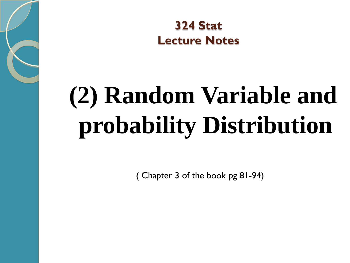**324 Stat Lecture Notes** 

# **(2) Random Variable and probability Distribution**

( Chapter 3 of the book pg 81-94)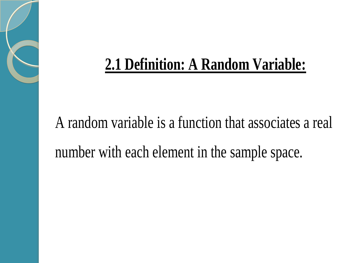### **2.1 Definition: A Random Variable:**

## A random variable is a function that associates a real number with each element in the sample space.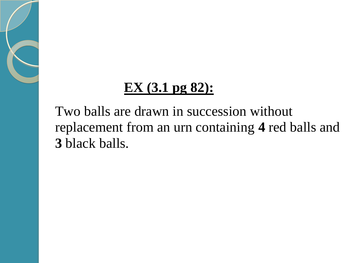### **EX (3.1 pg 82):**

 Two balls are drawn in succession without replacement from an urn containing **4** red balls and  **3** black balls.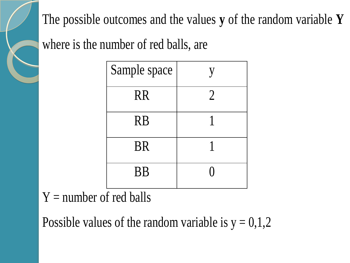The possible outcomes and the values **y** of the random variable **Y**

where is the number of red balls, are

| Sample space |                |
|--------------|----------------|
| <b>RR</b>    | $\overline{2}$ |
| <b>RB</b>    |                |
| <b>BR</b>    |                |
| <b>BB</b>    |                |

#### $Y =$  number of red balls

Possible values of the random variable is  $y = 0,1,2$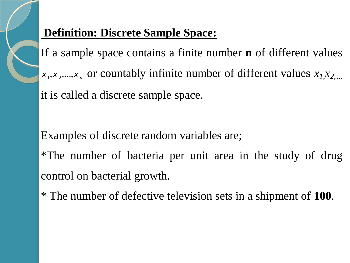

#### **Definition: Discrete Sample Space:**

If a sample space contains a finite number **n** of different values  $x_1, x_2, \ldots, x_n$  or countably infinite number of different values  $x_1, x_2, \ldots$ it is called a discrete sample space.

Examples of discrete random variables are;

\*The number of bacteria per unit area in the study of drug control on bacterial growth.

\* The number of defective television sets in a shipment of **100**.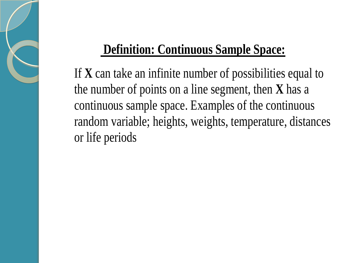### **Definition: Continuous Sample Space:**

If **X** can take an infinite number of possibilities equal to the number of points on a line segment, then **X** has a continuous sample space. Examples of the continuous random variable; heights, weights, temperature, distances or life periods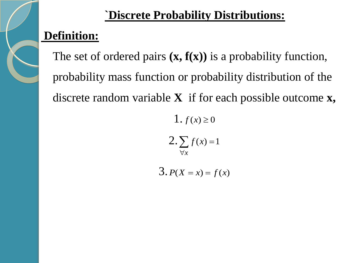#### **`Discrete Probability Distributions:**

#### **Definition:**

 The set of ordered pairs **(x, f(x))** is a probability function, probability mass function or probability distribution of the discrete random variable **X** if for each possible outcome **x,**

> $2.\sum f(x) = 1$  $\forall x$

1.  $f(x) \ge 0$ 

 $3. P(X = x) = f(x)$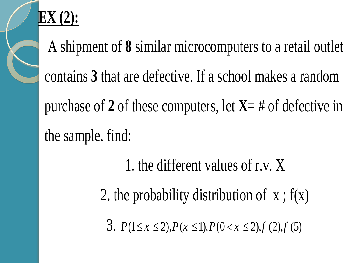

## **EX (2):**

 A shipment of **8** similar microcomputers to a retail outlet contains **3** that are defective. If a school makes a random purchase of **2** of these computers, let **X**= # of defective in the sample. find:

- 1. the different values of r.v. X
- 2. the probability distribution of  $x : f(x)$

3.  $P(1 \le x \le 2)$ ,  $P(x \le 1)$ ,  $P(0 \le x \le 2)$ ,  $f(2)$ ,  $f(5)$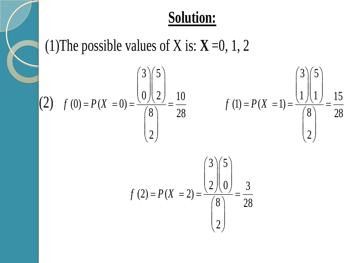### **Solution:**

(1) The possible values of X is:  $X = 0, 1, 2$ 

(2) 
$$
f(0) = P(X = 0) = \frac{\binom{3}{0}\binom{5}{2}}{\binom{8}{2}} = \frac{10}{28}
$$
  $f(1) = P(X = 1) = \frac{\binom{3}{1}\binom{5}{1}}{\binom{8}{2}} = \frac{15}{28}$ 

$$
f(2) = P(X = 2) = \frac{\binom{3}{2}\binom{5}{0}}{\binom{8}{2}} = \frac{3}{28}
$$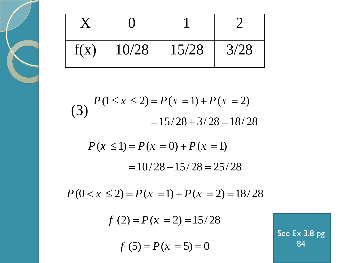| f(x) | 10/28 | 15/28 | 3/28 |
|------|-------|-------|------|

(3) 
$$
P(1 \le x \le 2) = P(x = 1) + P(x = 2)
$$

$$
= 15/28 + 3/28 = 18/28
$$

$$
P(x \le 1) = P(x = 0) + P(x = 1)
$$
  
= 10/28 + 15/28 = 25/28

$$
P(0 < x \le 2) = P(x = 1) + P(x = 2) = 18/28
$$

$$
f(2) = P(x = 2) = 15/28
$$

$$
f(5) = P(x=5) = 0
$$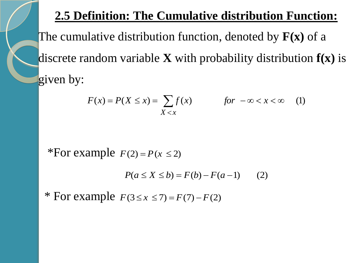#### **2.5 Definition: The Cumulative distribution Function:**

The cumulative distribution function, denoted by **F(x)** of a discrete random variable **X** with probability distribution **f(x)** is given by:

$$
F(x) = P(X \le x) = \sum_{X < x} f(x) \qquad \qquad \text{for } -\infty < x < \infty \tag{1}
$$

\*For example  $F(2) = P(x \le 2)$ 

$$
P(a \le X \le b) = F(b) - F(a-1) \qquad (2)
$$

\* For example  $F(3 \le x \le 7) = F(7) - F(2)$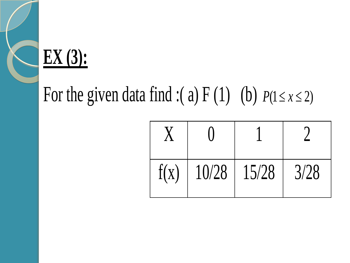

## For the given data find :(a)  $F(1)$  (b)  $P(1 \le x \le 2)$

| f(x) | 10/28 | 15/28 | 3/28 |
|------|-------|-------|------|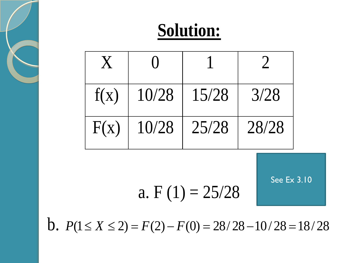## **Solution:**



a. F  $(1) = 25/28$ 

See Ex 3.10

**b.**  $P(1 \le X \le 2) = F(2) - F(0) = 28/28 - 10/28 = 18/28$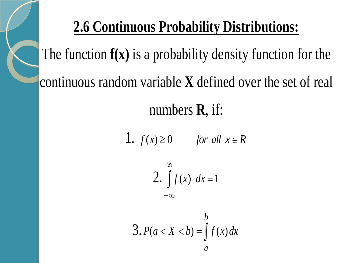## **2.6 Continuous Probability Distributions:**

The function **f(x)** is a probability density function for the continuous random variable **X** defined over the set of real

numbers **R**, if:

1.  $f(x) \ge 0$  *for all*  $x \in R$ 

$$
2. \int_{-\infty}^{\infty} f(x) \, dx = 1
$$

$$
3. P(a < X < b) = \int f(x) \, dx
$$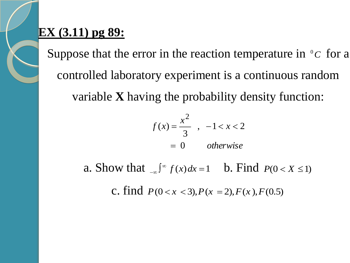#### **EX (3.11) pg 89:**

Suppose that the error in the reaction temperature in  $\partial c$  for a controlled laboratory experiment is a continuous random variable **X** having the probability density function:

$$
f(x) = \frac{x^2}{3}, -1 < x < 2
$$
  
= 0 otherwise

a. Show that  $\int_{-\infty}^{\infty} f(x) dx = 1$  $f(x) = \int_0^{\infty} f(x) dx = 1$  **b.** Find  $P(0 < X \le 1)$ 

c. find  $P(0 < x < 3)$ ,  $P(x = 2)$ ,  $F(x)$ ,  $F(0.5)$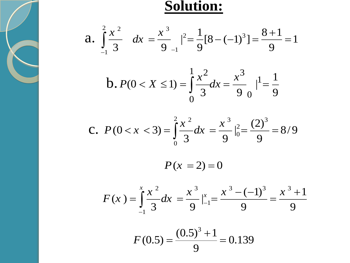

#### **Solution:**

**2014.67**  
**21**  
**3** 
$$
dx = \frac{x^3}{9} - \frac{1}{9} = \frac{1}{9}[8 - (-1)^3] = \frac{8+1}{9} = 1
$$



**c.** 
$$
P(0 < x < 3) = \int_{0}^{2} \frac{x^{2}}{3} dx = \frac{x^{3}}{9} |_{0}^{2} = \frac{(2)^{3}}{9} = 8/9
$$

 $P(x = 2) = 0$ 

$$
F(x) = \int_{-1}^{x} \frac{x^2}{3} dx = \frac{x^3}{9} \Big|_{-1}^{x} = \frac{x^3 - (-1)^3}{9} = \frac{x^3 + 1}{9}
$$

$$
F(0.5) = \frac{(0.5)^3 + 1}{9} = 0.139
$$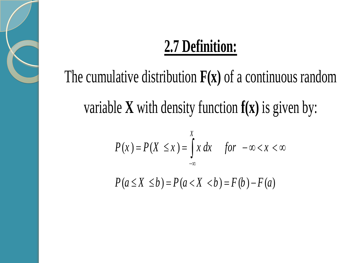## **2.7 Definition:**

## The cumulative distribution **F(x)** of a continuous random variable **X** with density function **f(x)** is given by:

$$
P(x) = P(X \le x) = \int_{-\infty}^{X} x \, dx \quad \text{for } -\infty < x < \infty
$$

 $P(a \le X \le b) = P(a < X < b) = F(b) - F(a)$